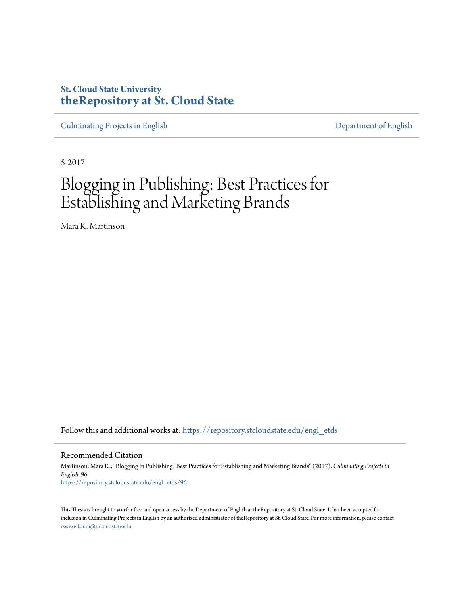# **St. Cloud State University [theRepository at St. Cloud State](https://repository.stcloudstate.edu?utm_source=repository.stcloudstate.edu%2Fengl_etds%2F96&utm_medium=PDF&utm_campaign=PDFCoverPages)**

[Culminating Projects in English](https://repository.stcloudstate.edu/engl_etds?utm_source=repository.stcloudstate.edu%2Fengl_etds%2F96&utm_medium=PDF&utm_campaign=PDFCoverPages) [Department of English](https://repository.stcloudstate.edu/engl?utm_source=repository.stcloudstate.edu%2Fengl_etds%2F96&utm_medium=PDF&utm_campaign=PDFCoverPages)

5-2017

# Blogging in Publishing: Best Practices for Establishing and Marketing Brands

Mara K. Martinson

Follow this and additional works at: [https://repository.stcloudstate.edu/engl\\_etds](https://repository.stcloudstate.edu/engl_etds?utm_source=repository.stcloudstate.edu%2Fengl_etds%2F96&utm_medium=PDF&utm_campaign=PDFCoverPages)

Recommended Citation

Martinson, Mara K., "Blogging in Publishing: Best Practices for Establishing and Marketing Brands" (2017). *Culminating Projects in English*. 96. [https://repository.stcloudstate.edu/engl\\_etds/96](https://repository.stcloudstate.edu/engl_etds/96?utm_source=repository.stcloudstate.edu%2Fengl_etds%2F96&utm_medium=PDF&utm_campaign=PDFCoverPages)

This Thesis is brought to you for free and open access by the Department of English at theRepository at St. Cloud State. It has been accepted for inclusion in Culminating Projects in English by an authorized administrator of theRepository at St. Cloud State. For more information, please contact [rswexelbaum@stcloudstate.edu](mailto:rswexelbaum@stcloudstate.edu).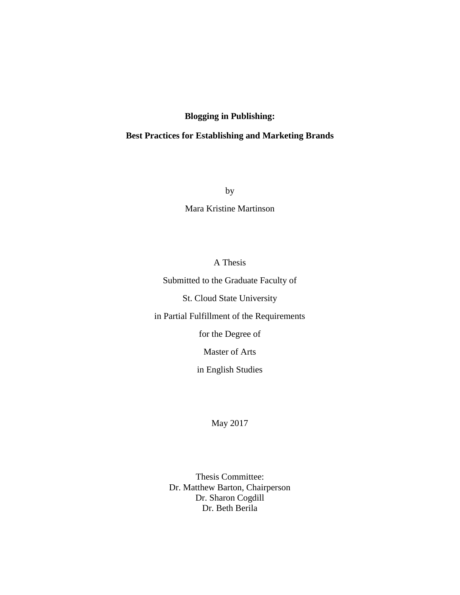## **Blogging in Publishing:**

## **Best Practices for Establishing and Marketing Brands**

by

Mara Kristine Martinson

A Thesis

Submitted to the Graduate Faculty of

St. Cloud State University

in Partial Fulfillment of the Requirements

for the Degree of

Master of Arts

in English Studies

May 2017

Thesis Committee: Dr. Matthew Barton, Chairperson Dr. Sharon Cogdill Dr. Beth Berila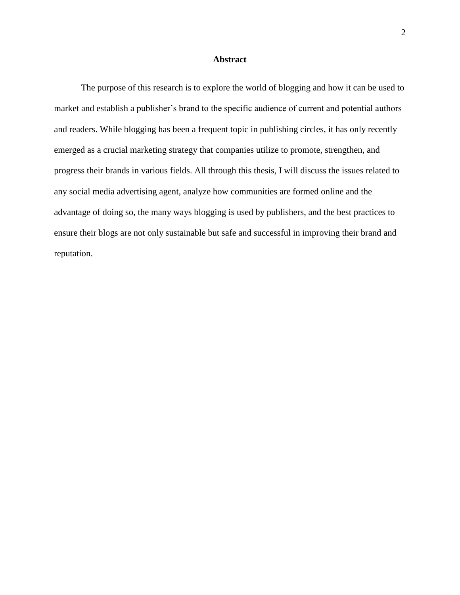## **Abstract**

The purpose of this research is to explore the world of blogging and how it can be used to market and establish a publisher's brand to the specific audience of current and potential authors and readers. While blogging has been a frequent topic in publishing circles, it has only recently emerged as a crucial marketing strategy that companies utilize to promote, strengthen, and progress their brands in various fields. All through this thesis, I will discuss the issues related to any social media advertising agent, analyze how communities are formed online and the advantage of doing so, the many ways blogging is used by publishers, and the best practices to ensure their blogs are not only sustainable but safe and successful in improving their brand and reputation.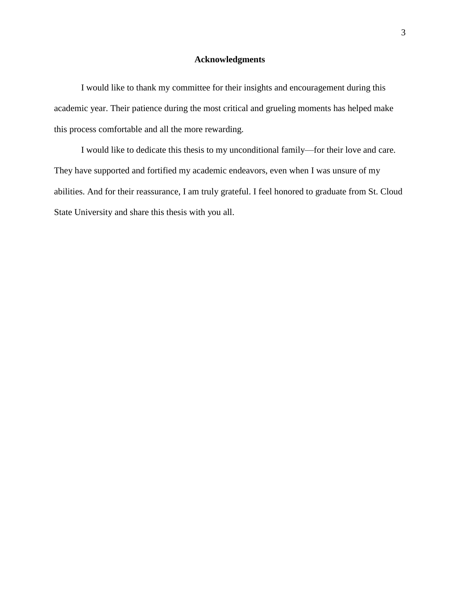## **Acknowledgments**

I would like to thank my committee for their insights and encouragement during this academic year. Their patience during the most critical and grueling moments has helped make this process comfortable and all the more rewarding.

I would like to dedicate this thesis to my unconditional family—for their love and care. They have supported and fortified my academic endeavors, even when I was unsure of my abilities. And for their reassurance, I am truly grateful. I feel honored to graduate from St. Cloud State University and share this thesis with you all.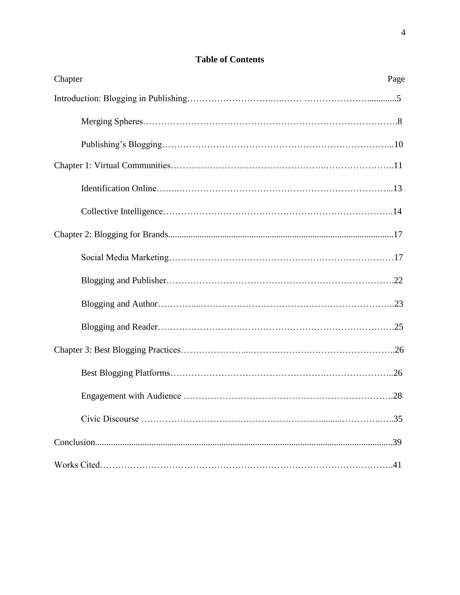| Chapter<br>Page |
|-----------------|
|                 |
|                 |
|                 |
|                 |
|                 |
|                 |
|                 |
|                 |
|                 |
|                 |
|                 |
|                 |
|                 |
|                 |
|                 |
|                 |
|                 |

# **Table of Contents**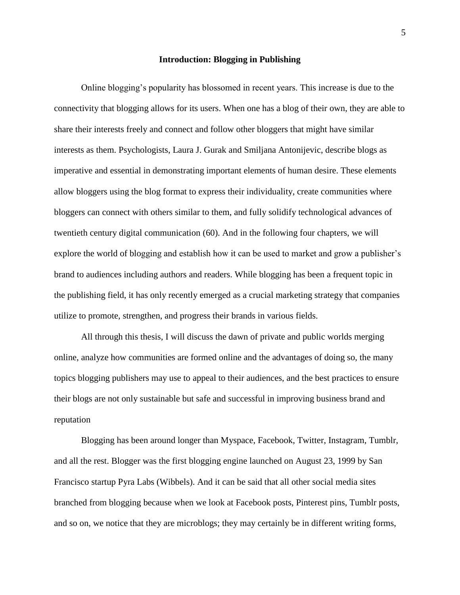#### **Introduction: Blogging in Publishing**

Online blogging's popularity has blossomed in recent years. This increase is due to the connectivity that blogging allows for its users. When one has a blog of their own, they are able to share their interests freely and connect and follow other bloggers that might have similar interests as them. Psychologists, Laura J. Gurak and Smiljana Antonijevic, describe blogs as imperative and essential in demonstrating important elements of human desire. These elements allow bloggers using the blog format to express their individuality, create communities where bloggers can connect with others similar to them, and fully solidify technological advances of twentieth century digital communication (60). And in the following four chapters, we will explore the world of blogging and establish how it can be used to market and grow a publisher's brand to audiences including authors and readers. While blogging has been a frequent topic in the publishing field, it has only recently emerged as a crucial marketing strategy that companies utilize to promote, strengthen, and progress their brands in various fields.

All through this thesis, I will discuss the dawn of private and public worlds merging online, analyze how communities are formed online and the advantages of doing so, the many topics blogging publishers may use to appeal to their audiences, and the best practices to ensure their blogs are not only sustainable but safe and successful in improving business brand and reputation

Blogging has been around longer than Myspace, Facebook, Twitter, Instagram, Tumblr, and all the rest. Blogger was the first blogging engine launched on August 23, 1999 by San Francisco startup Pyra Labs (Wibbels). And it can be said that all other social media sites branched from blogging because when we look at Facebook posts, Pinterest pins, Tumblr posts, and so on, we notice that they are microblogs; they may certainly be in different writing forms,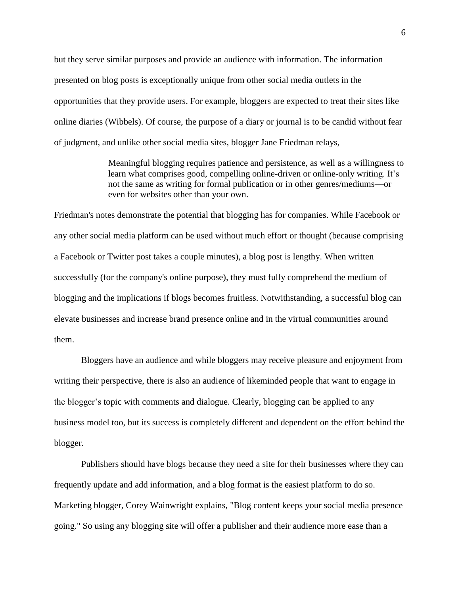but they serve similar purposes and provide an audience with information. The information presented on blog posts is exceptionally unique from other social media outlets in the opportunities that they provide users. For example, bloggers are expected to treat their sites like online diaries (Wibbels). Of course, the purpose of a diary or journal is to be candid without fear of judgment, and unlike other social media sites, blogger Jane Friedman relays,

> Meaningful blogging requires patience and persistence, as well as a willingness to learn what comprises good, compelling online-driven or online-only writing. It's not the same as writing for formal publication or in other genres/mediums—or even for websites other than your own.

Friedman's notes demonstrate the potential that blogging has for companies. While Facebook or any other social media platform can be used without much effort or thought (because comprising a Facebook or Twitter post takes a couple minutes), a blog post is lengthy. When written successfully (for the company's online purpose), they must fully comprehend the medium of blogging and the implications if blogs becomes fruitless. Notwithstanding, a successful blog can elevate businesses and increase brand presence online and in the virtual communities around them.

Bloggers have an audience and while bloggers may receive pleasure and enjoyment from writing their perspective, there is also an audience of likeminded people that want to engage in the blogger's topic with comments and dialogue. Clearly, blogging can be applied to any business model too, but its success is completely different and dependent on the effort behind the blogger.

Publishers should have blogs because they need a site for their businesses where they can frequently update and add information, and a blog format is the easiest platform to do so. Marketing blogger, Corey Wainwright explains, ["Blog content](https://library.hubspot.com/blog-editorial-calendar?_ga=2.166163449.657225313.1495420933-443024355.1495420933) keeps your social media presence going." So using any blogging site will offer a publisher and their audience more ease than a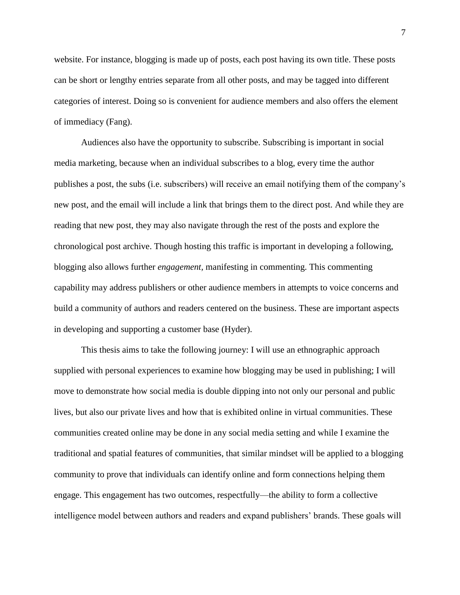website. For instance, blogging is made up of posts, each post having its own title. These posts can be short or lengthy entries separate from all other posts, and may be tagged into different categories of interest. Doing so is convenient for audience members and also offers the element of immediacy (Fang).

Audiences also have the opportunity to subscribe. Subscribing is important in social media marketing, because when an individual subscribes to a blog, every time the author publishes a post, the subs (i.e. subscribers) will receive an email notifying them of the company's new post, and the email will include a link that brings them to the direct post. And while they are reading that new post, they may also navigate through the rest of the posts and explore the chronological post archive. Though hosting this traffic is important in developing a following, blogging also allows further *engagement,* manifesting in commenting. This commenting capability may address publishers or other audience members in attempts to voice concerns and build a community of authors and readers centered on the business. These are important aspects in developing and supporting a customer base (Hyder).

This thesis aims to take the following journey: I will use an ethnographic approach supplied with personal experiences to examine how blogging may be used in publishing; I will move to demonstrate how social media is double dipping into not only our personal and public lives, but also our private lives and how that is exhibited online in virtual communities. These communities created online may be done in any social media setting and while I examine the traditional and spatial features of communities, that similar mindset will be applied to a blogging community to prove that individuals can identify online and form connections helping them engage. This engagement has two outcomes, respectfully—the ability to form a collective intelligence model between authors and readers and expand publishers' brands. These goals will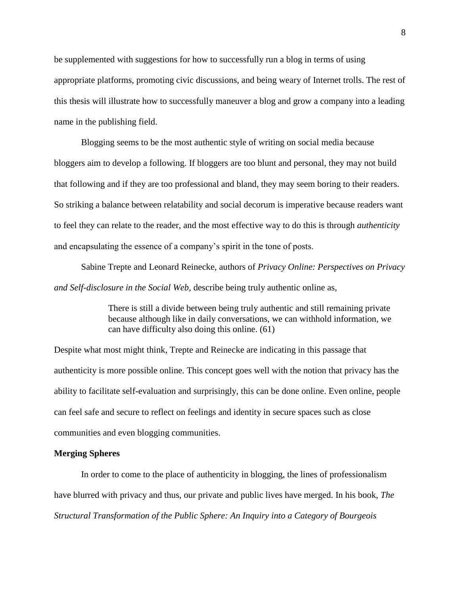be supplemented with suggestions for how to successfully run a blog in terms of using appropriate platforms, promoting civic discussions, and being weary of Internet trolls. The rest of this thesis will illustrate how to successfully maneuver a blog and grow a company into a leading name in the publishing field.

Blogging seems to be the most authentic style of writing on social media because bloggers aim to develop a following. If bloggers are too blunt and personal, they may not build that following and if they are too professional and bland, they may seem boring to their readers. So striking a balance between relatability and social decorum is imperative because readers want to feel they can relate to the reader, and the most effective way to do this is through *authenticity* and encapsulating the essence of a company's spirit in the tone of posts.

Sabine Trepte and Leonard Reinecke, authors of *Privacy Online: Perspectives on Privacy and Self-disclosure in the Social Web,* describe being truly authentic online as,

> There is still a divide between being truly authentic and still remaining private because although like in daily conversations, we can withhold information, we can have difficulty also doing this online. (61)

Despite what most might think, Trepte and Reinecke are indicating in this passage that authenticity is more possible online. This concept goes well with the notion that privacy has the ability to facilitate self-evaluation and surprisingly, this can be done online. Even online, people can feel safe and secure to reflect on feelings and identity in secure spaces such as close communities and even blogging communities.

#### **Merging Spheres**

In order to come to the place of authenticity in blogging, the lines of professionalism have blurred with privacy and thus, our private and public lives have merged. In his book, *The Structural Transformation of the Public Sphere: An Inquiry into a Category of Bourgeois*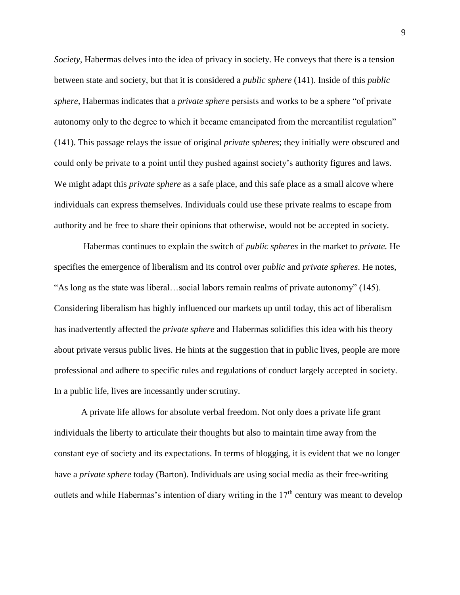*Society*, Habermas delves into the idea of privacy in society. He conveys that there is a tension between state and society, but that it is considered a *public sphere* (141). Inside of this *public sphere,* Habermas indicates that a *private sphere* persists and works to be a sphere "of private autonomy only to the degree to which it became emancipated from the mercantilist regulation" (141). This passage relays the issue of original *private spheres*; they initially were obscured and could only be private to a point until they pushed against society's authority figures and laws. We might adapt this *private sphere* as a safe place, and this safe place as a small alcove where individuals can express themselves. Individuals could use these private realms to escape from authority and be free to share their opinions that otherwise, would not be accepted in society.

Habermas continues to explain the switch of *public spheres* in the market to *private.* He specifies the emergence of liberalism and its control over *public* and *private spheres*. He notes, "As long as the state was liberal…social labors remain realms of private autonomy" (145). Considering liberalism has highly influenced our markets up until today, this act of liberalism has inadvertently affected the *private sphere* and Habermas solidifies this idea with his theory about private versus public lives. He hints at the suggestion that in public lives, people are more professional and adhere to specific rules and regulations of conduct largely accepted in society. In a public life, lives are incessantly under scrutiny.

A private life allows for absolute verbal freedom. Not only does a private life grant individuals the liberty to articulate their thoughts but also to maintain time away from the constant eye of society and its expectations. In terms of blogging, it is evident that we no longer have a *private sphere* today (Barton). Individuals are using social media as their free-writing outlets and while Habermas's intention of diary writing in the  $17<sup>th</sup>$  century was meant to develop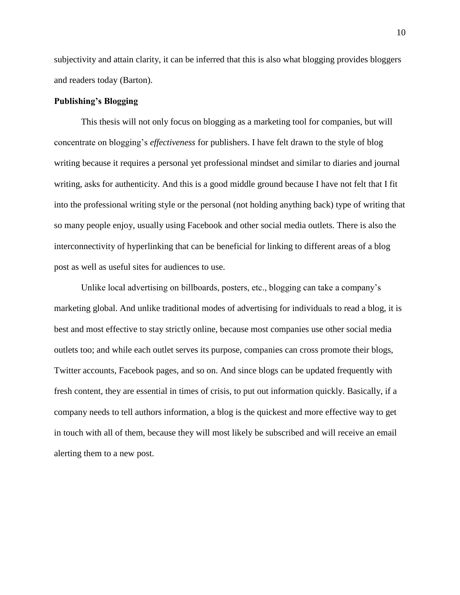subjectivity and attain clarity, it can be inferred that this is also what blogging provides bloggers and readers today (Barton).

## **Publishing's Blogging**

This thesis will not only focus on blogging as a marketing tool for companies, but will concentrate on blogging's *effectiveness* for publishers. I have felt drawn to the style of blog writing because it requires a personal yet professional mindset and similar to diaries and journal writing, asks for authenticity. And this is a good middle ground because I have not felt that I fit into the professional writing style or the personal (not holding anything back) type of writing that so many people enjoy, usually using Facebook and other social media outlets. There is also the interconnectivity of hyperlinking that can be beneficial for linking to different areas of a blog post as well as useful sites for audiences to use.

Unlike local advertising on billboards, posters, etc., blogging can take a company's marketing global. And unlike traditional modes of advertising for individuals to read a blog, it is best and most effective to stay strictly online, because most companies use other social media outlets too; and while each outlet serves its purpose, companies can cross promote their blogs, Twitter accounts, Facebook pages, and so on. And since blogs can be updated frequently with fresh content, they are essential in times of crisis, to put out information quickly. Basically, if a company needs to tell authors information, a blog is the quickest and more effective way to get in touch with all of them, because they will most likely be subscribed and will receive an email alerting them to a new post.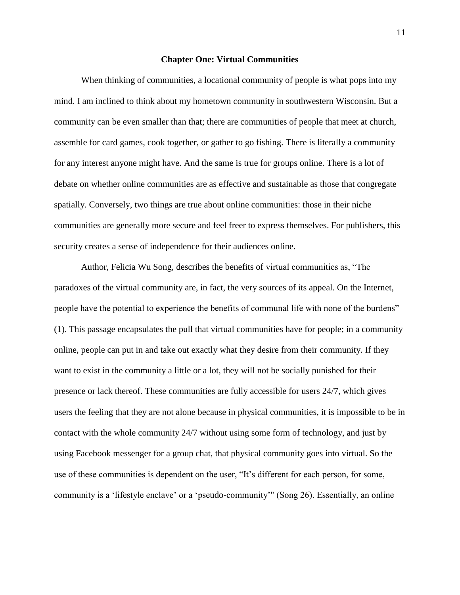#### **Chapter One: Virtual Communities**

When thinking of communities, a locational community of people is what pops into my mind. I am inclined to think about my hometown community in southwestern Wisconsin. But a community can be even smaller than that; there are communities of people that meet at church, assemble for card games, cook together, or gather to go fishing. There is literally a community for any interest anyone might have. And the same is true for groups online. There is a lot of debate on whether online communities are as effective and sustainable as those that congregate spatially. Conversely, two things are true about online communities: those in their niche communities are generally more secure and feel freer to express themselves. For publishers, this security creates a sense of independence for their audiences online.

Author, Felicia Wu Song, describes the benefits of virtual communities as, "The paradoxes of the virtual community are, in fact, the very sources of its appeal. On the Internet, people have the potential to experience the benefits of communal life with none of the burdens" (1). This passage encapsulates the pull that virtual communities have for people; in a community online, people can put in and take out exactly what they desire from their community. If they want to exist in the community a little or a lot, they will not be socially punished for their presence or lack thereof. These communities are fully accessible for users 24/7, which gives users the feeling that they are not alone because in physical communities, it is impossible to be in contact with the whole community 24/7 without using some form of technology, and just by using Facebook messenger for a group chat, that physical community goes into virtual. So the use of these communities is dependent on the user, "It's different for each person, for some, community is a 'lifestyle enclave' or a 'pseudo-community'" (Song 26). Essentially, an online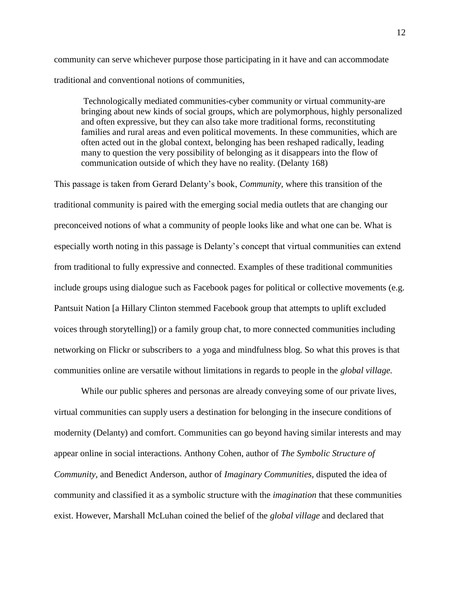community can serve whichever purpose those participating in it have and can accommodate traditional and conventional notions of communities,

Technologically mediated communities-cyber community or virtual community-are bringing about new kinds of social groups, which are polymorphous, highly personalized and often expressive, but they can also take more traditional forms, reconstituting families and rural areas and even political movements. In these communities, which are often acted out in the global context, belonging has been reshaped radically, leading many to question the very possibility of belonging as it disappears into the flow of communication outside of which they have no reality. (Delanty 168)

This passage is taken from Gerard Delanty's book, *Community,* where this transition of the traditional community is paired with the emerging social media outlets that are changing our preconceived notions of what a community of people looks like and what one can be. What is especially worth noting in this passage is Delanty's concept that virtual communities can extend from traditional to fully expressive and connected. Examples of these traditional communities include groups using dialogue such as Facebook pages for political or collective movements (e.g. Pantsuit Nation [a Hillary Clinton stemmed Facebook group that attempts to uplift excluded voices through storytelling]) or a family group chat, to more connected communities including networking on Flickr or subscribers to a yoga and mindfulness blog. So what this proves is that communities online are versatile without limitations in regards to people in the *global village.* 

While our public spheres and personas are already conveying some of our private lives, virtual communities can supply users a destination for belonging in the insecure conditions of modernity (Delanty) and comfort. Communities can go beyond having similar interests and may appear online in social interactions. Anthony Cohen, author of *The Symbolic Structure of Community,* and Benedict Anderson, author of *Imaginary Communities,* disputed the idea of community and classified it as a symbolic structure with the *imagination* that these communities exist. However, Marshall McLuhan coined the belief of the *global village* and declared that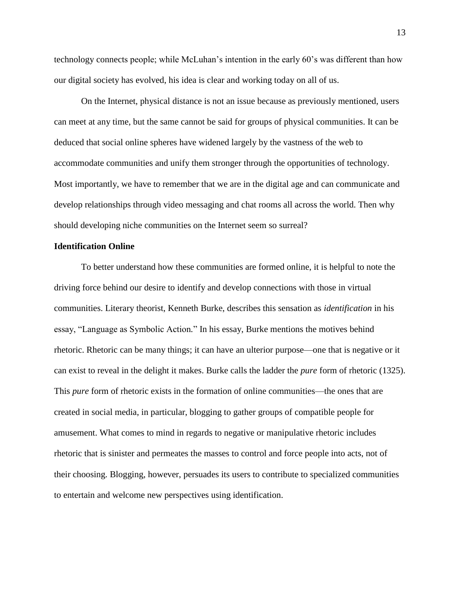technology connects people; while McLuhan's intention in the early 60's was different than how our digital society has evolved, his idea is clear and working today on all of us.

On the Internet, physical distance is not an issue because as previously mentioned, users can meet at any time, but the same cannot be said for groups of physical communities. It can be deduced that social online spheres have widened largely by the vastness of the web to accommodate communities and unify them stronger through the opportunities of technology. Most importantly, we have to remember that we are in the digital age and can communicate and develop relationships through video messaging and chat rooms all across the world. Then why should developing niche communities on the Internet seem so surreal?

#### **Identification Online**

To better understand how these communities are formed online, it is helpful to note the driving force behind our desire to identify and develop connections with those in virtual communities. Literary theorist, Kenneth Burke, describes this sensation as *identification* in his essay, "Language as Symbolic Action*.*" In his essay, Burke mentions the motives behind rhetoric. Rhetoric can be many things; it can have an ulterior purpose—one that is negative or it can exist to reveal in the delight it makes. Burke calls the ladder the *pure* form of rhetoric (1325). This *pure* form of rhetoric exists in the formation of online communities—the ones that are created in social media, in particular, blogging to gather groups of compatible people for amusement. What comes to mind in regards to negative or manipulative rhetoric includes rhetoric that is sinister and permeates the masses to control and force people into acts, not of their choosing. Blogging, however, persuades its users to contribute to specialized communities to entertain and welcome new perspectives using identification.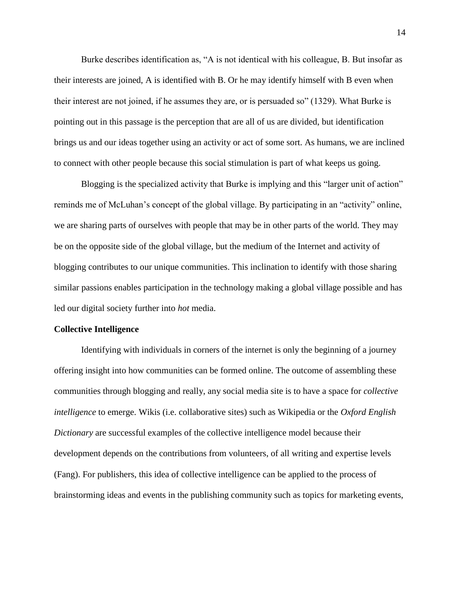Burke describes identification as, "A is not identical with his colleague, B. But insofar as their interests are joined, A is identified with B. Or he may identify himself with B even when their interest are not joined, if he assumes they are, or is persuaded so" (1329). What Burke is pointing out in this passage is the perception that are all of us are divided, but identification brings us and our ideas together using an activity or act of some sort. As humans, we are inclined to connect with other people because this social stimulation is part of what keeps us going.

Blogging is the specialized activity that Burke is implying and this "larger unit of action" reminds me of McLuhan's concept of the global village. By participating in an "activity" online, we are sharing parts of ourselves with people that may be in other parts of the world. They may be on the opposite side of the global village, but the medium of the Internet and activity of blogging contributes to our unique communities. This inclination to identify with those sharing similar passions enables participation in the technology making a global village possible and has led our digital society further into *hot* media.

#### **Collective Intelligence**

Identifying with individuals in corners of the internet is only the beginning of a journey offering insight into how communities can be formed online. The outcome of assembling these communities through blogging and really, any social media site is to have a space for *collective intelligence* to emerge. Wikis (i.e. collaborative sites) such as Wikipedia or the *Oxford English Dictionary* are successful examples of the collective intelligence model because their development depends on the contributions from volunteers, of all writing and expertise levels (Fang). For publishers, this idea of collective intelligence can be applied to the process of brainstorming ideas and events in the publishing community such as topics for marketing events,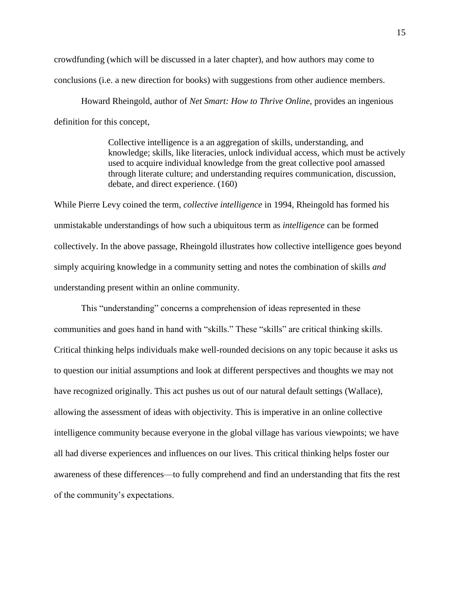crowdfunding (which will be discussed in a later chapter), and how authors may come to conclusions (i.e. a new direction for books) with suggestions from other audience members.

Howard Rheingold, author of *Net Smart: How to Thrive Online*, provides an ingenious definition for this concept,

> Collective intelligence is a an aggregation of skills, understanding, and knowledge; skills, like literacies, unlock individual access, which must be actively used to acquire individual knowledge from the great collective pool amassed through literate culture; and understanding requires communication, discussion, debate, and direct experience. (160)

While Pierre Levy coined the term, *collective intelligence* in 1994, Rheingold has formed his unmistakable understandings of how such a ubiquitous term as *intelligence* can be formed collectively. In the above passage, Rheingold illustrates how collective intelligence goes beyond simply acquiring knowledge in a community setting and notes the combination of skills *and* understanding present within an online community.

This "understanding" concerns a comprehension of ideas represented in these communities and goes hand in hand with "skills." These "skills" are critical thinking skills. Critical thinking helps individuals make well-rounded decisions on any topic because it asks us to question our initial assumptions and look at different perspectives and thoughts we may not have recognized originally. This act pushes us out of our natural default settings (Wallace), allowing the assessment of ideas with objectivity. This is imperative in an online collective intelligence community because everyone in the global village has various viewpoints; we have all had diverse experiences and influences on our lives. This critical thinking helps foster our awareness of these differences—to fully comprehend and find an understanding that fits the rest of the community's expectations.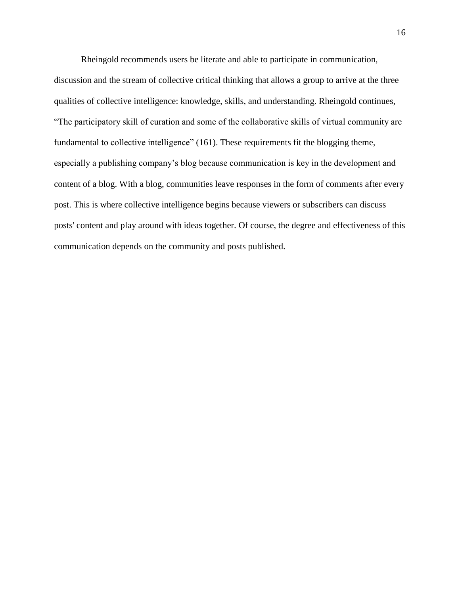Rheingold recommends users be literate and able to participate in communication,

discussion and the stream of collective critical thinking that allows a group to arrive at the three qualities of collective intelligence: knowledge, skills, and understanding. Rheingold continues, "The participatory skill of curation and some of the collaborative skills of virtual community are fundamental to collective intelligence" (161). These requirements fit the blogging theme, especially a publishing company's blog because communication is key in the development and content of a blog. With a blog, communities leave responses in the form of comments after every post. This is where collective intelligence begins because viewers or subscribers can discuss posts' content and play around with ideas together. Of course, the degree and effectiveness of this communication depends on the community and posts published.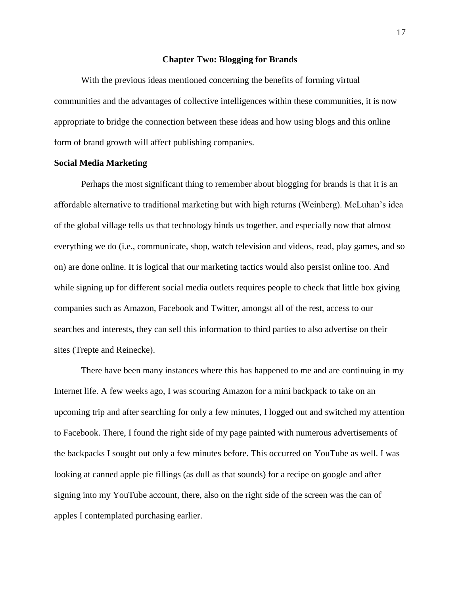#### **Chapter Two: Blogging for Brands**

With the previous ideas mentioned concerning the benefits of forming virtual communities and the advantages of collective intelligences within these communities, it is now appropriate to bridge the connection between these ideas and how using blogs and this online form of brand growth will affect publishing companies.

#### **Social Media Marketing**

Perhaps the most significant thing to remember about blogging for brands is that it is an affordable alternative to traditional marketing but with high returns (Weinberg). McLuhan's idea of the global village tells us that technology binds us together, and especially now that almost everything we do (i.e., communicate, shop, watch television and videos, read, play games, and so on) are done online. It is logical that our marketing tactics would also persist online too. And while signing up for different social media outlets requires people to check that little box giving companies such as Amazon, Facebook and Twitter, amongst all of the rest, access to our searches and interests, they can sell this information to third parties to also advertise on their sites (Trepte and Reinecke).

There have been many instances where this has happened to me and are continuing in my Internet life. A few weeks ago, I was scouring Amazon for a mini backpack to take on an upcoming trip and after searching for only a few minutes, I logged out and switched my attention to Facebook. There, I found the right side of my page painted with numerous advertisements of the backpacks I sought out only a few minutes before. This occurred on YouTube as well. I was looking at canned apple pie fillings (as dull as that sounds) for a recipe on google and after signing into my YouTube account, there, also on the right side of the screen was the can of apples I contemplated purchasing earlier.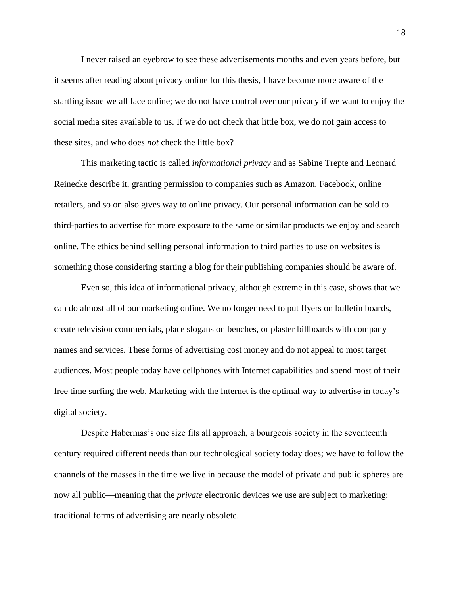I never raised an eyebrow to see these advertisements months and even years before, but it seems after reading about privacy online for this thesis, I have become more aware of the startling issue we all face online; we do not have control over our privacy if we want to enjoy the social media sites available to us. If we do not check that little box, we do not gain access to these sites, and who does *not* check the little box?

This marketing tactic is called *informational privacy* and as Sabine Trepte and Leonard Reinecke describe it, granting permission to companies such as Amazon, Facebook, online retailers, and so on also gives way to online privacy. Our personal information can be sold to third-parties to advertise for more exposure to the same or similar products we enjoy and search online. The ethics behind selling personal information to third parties to use on websites is something those considering starting a blog for their publishing companies should be aware of.

Even so, this idea of informational privacy, although extreme in this case, shows that we can do almost all of our marketing online. We no longer need to put flyers on bulletin boards, create television commercials, place slogans on benches, or plaster billboards with company names and services. These forms of advertising cost money and do not appeal to most target audiences. Most people today have cellphones with Internet capabilities and spend most of their free time surfing the web. Marketing with the Internet is the optimal way to advertise in today's digital society.

Despite Habermas's one size fits all approach, a bourgeois society in the seventeenth century required different needs than our technological society today does; we have to follow the channels of the masses in the time we live in because the model of private and public spheres are now all public—meaning that the *private* electronic devices we use are subject to marketing; traditional forms of advertising are nearly obsolete.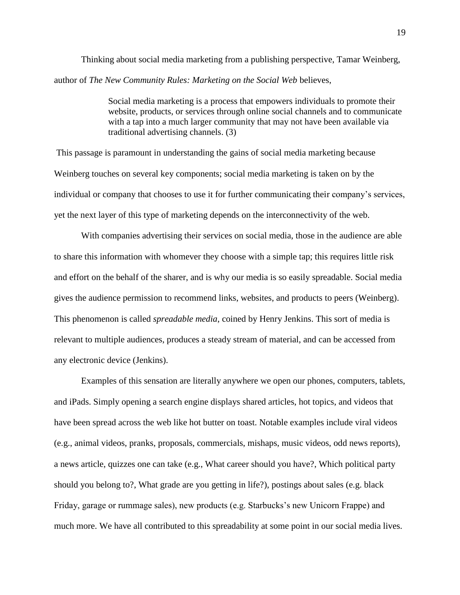Thinking about social media marketing from a publishing perspective, Tamar Weinberg, author of *The New Community Rules: Marketing on the Social Web* believes,

> Social media marketing is a process that empowers individuals to promote their website, products, or services through online social channels and to communicate with a tap into a much larger community that may not have been available via traditional advertising channels. (3)

This passage is paramount in understanding the gains of social media marketing because Weinberg touches on several key components; social media marketing is taken on by the individual or company that chooses to use it for further communicating their company's services, yet the next layer of this type of marketing depends on the interconnectivity of the web.

With companies advertising their services on social media, those in the audience are able to share this information with whomever they choose with a simple tap; this requires little risk and effort on the behalf of the sharer, and is why our media is so easily spreadable. Social media gives the audience permission to recommend links, websites, and products to peers (Weinberg). This phenomenon is called *spreadable media*, coined by Henry Jenkins. This sort of media is relevant to multiple audiences, produces a steady stream of material, and can be accessed from any electronic device (Jenkins).

Examples of this sensation are literally anywhere we open our phones, computers, tablets, and iPads. Simply opening a search engine displays shared articles, hot topics, and videos that have been spread across the web like hot butter on toast. Notable examples include viral videos (e.g., animal videos, pranks, proposals, commercials, mishaps, music videos, odd news reports), a news article, quizzes one can take (e.g., What career should you have?, Which political party should you belong to?, What grade are you getting in life?), postings about sales (e.g. black Friday, garage or rummage sales), new products (e.g. Starbucks's new Unicorn Frappe) and much more. We have all contributed to this spreadability at some point in our social media lives.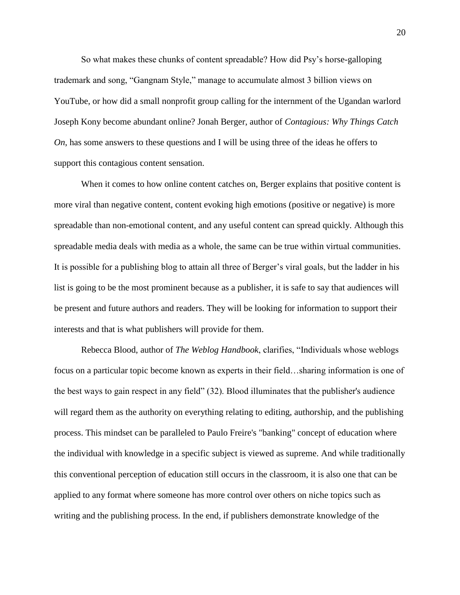So what makes these chunks of content spreadable? How did Psy's horse-galloping trademark and song, "Gangnam Style," manage to accumulate almost 3 billion views on YouTube, or how did a small nonprofit group calling for the internment of the Ugandan warlord Joseph Kony become abundant online? Jonah Berger, author of *Contagious: Why Things Catch On*, has some answers to these questions and I will be using three of the ideas he offers to support this contagious content sensation.

When it comes to how online content catches on, Berger explains that positive content is more viral than negative content, content evoking high emotions (positive or negative) is more spreadable than non-emotional content, and any useful content can spread quickly. Although this spreadable media deals with media as a whole, the same can be true within virtual communities. It is possible for a publishing blog to attain all three of Berger's viral goals, but the ladder in his list is going to be the most prominent because as a publisher, it is safe to say that audiences will be present and future authors and readers. They will be looking for information to support their interests and that is what publishers will provide for them.

Rebecca Blood, author of *The Weblog Handbook*, clarifies, "Individuals whose weblogs focus on a particular topic become known as experts in their field…sharing information is one of the best ways to gain respect in any field" (32). Blood illuminates that the publisher's audience will regard them as the authority on everything relating to editing, authorship, and the publishing process. This mindset can be paralleled to Paulo Freire's "banking" concept of education where the individual with knowledge in a specific subject is viewed as supreme. And while traditionally this conventional perception of education still occurs in the classroom, it is also one that can be applied to any format where someone has more control over others on niche topics such as writing and the publishing process. In the end, if publishers demonstrate knowledge of the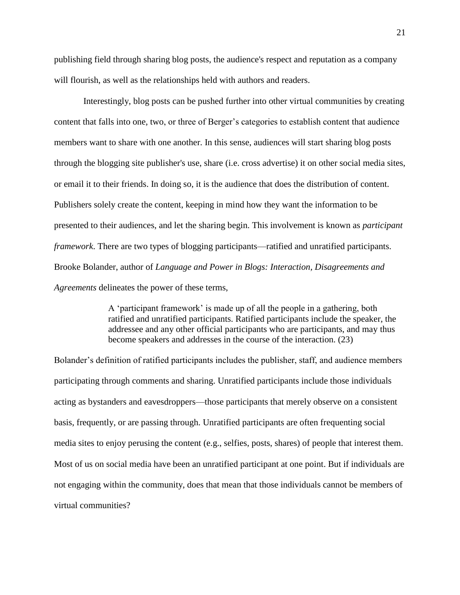publishing field through sharing blog posts, the audience's respect and reputation as a company will flourish, as well as the relationships held with authors and readers.

Interestingly, blog posts can be pushed further into other virtual communities by creating content that falls into one, two, or three of Berger's categories to establish content that audience members want to share with one another. In this sense, audiences will start sharing blog posts through the blogging site publisher's use, share (i.e. cross advertise) it on other social media sites, or email it to their friends. In doing so, it is the audience that does the distribution of content. Publishers solely create the content, keeping in mind how they want the information to be presented to their audiences, and let the sharing begin. This involvement is known as *participant framework*. There are two types of blogging participants—ratified and unratified participants. Brooke Bolander, author of *Language and Power in Blogs: Interaction, Disagreements and Agreements* delineates the power of these terms,

> A 'participant framework' is made up of all the people in a gathering, both ratified and unratified participants. Ratified participants include the speaker, the addressee and any other official participants who are participants, and may thus become speakers and addresses in the course of the interaction. (23)

Bolander's definition of ratified participants includes the publisher, staff, and audience members participating through comments and sharing. Unratified participants include those individuals acting as bystanders and eavesdroppers—those participants that merely observe on a consistent basis, frequently, or are passing through. Unratified participants are often frequenting social media sites to enjoy perusing the content (e.g., selfies, posts, shares) of people that interest them. Most of us on social media have been an unratified participant at one point. But if individuals are not engaging within the community, does that mean that those individuals cannot be members of virtual communities?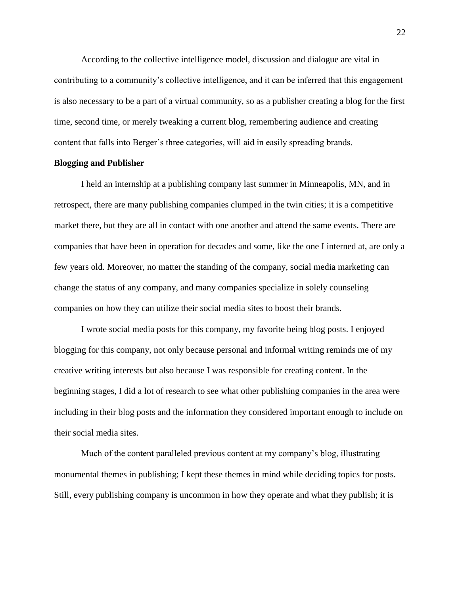According to the collective intelligence model, discussion and dialogue are vital in contributing to a community's collective intelligence, and it can be inferred that this engagement is also necessary to be a part of a virtual community, so as a publisher creating a blog for the first time, second time, or merely tweaking a current blog, remembering audience and creating content that falls into Berger's three categories, will aid in easily spreading brands.

#### **Blogging and Publisher**

I held an internship at a publishing company last summer in Minneapolis, MN, and in retrospect, there are many publishing companies clumped in the twin cities; it is a competitive market there, but they are all in contact with one another and attend the same events. There are companies that have been in operation for decades and some, like the one I interned at, are only a few years old. Moreover, no matter the standing of the company, social media marketing can change the status of any company, and many companies specialize in solely counseling companies on how they can utilize their social media sites to boost their brands.

I wrote social media posts for this company, my favorite being blog posts. I enjoyed blogging for this company, not only because personal and informal writing reminds me of my creative writing interests but also because I was responsible for creating content. In the beginning stages, I did a lot of research to see what other publishing companies in the area were including in their blog posts and the information they considered important enough to include on their social media sites.

Much of the content paralleled previous content at my company's blog, illustrating monumental themes in publishing; I kept these themes in mind while deciding topics for posts. Still, every publishing company is uncommon in how they operate and what they publish; it is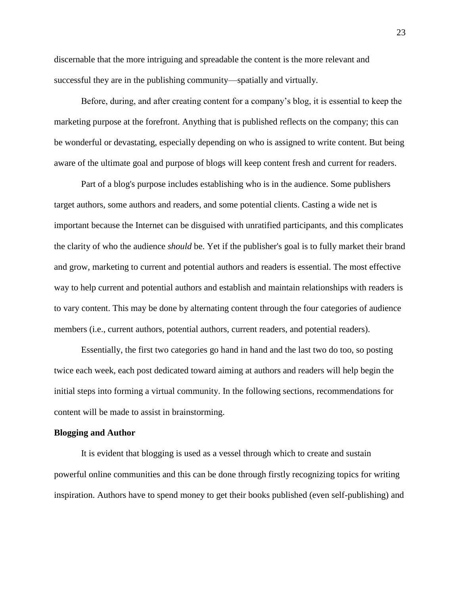discernable that the more intriguing and spreadable the content is the more relevant and successful they are in the publishing community—spatially and virtually.

Before, during, and after creating content for a company's blog, it is essential to keep the marketing purpose at the forefront. Anything that is published reflects on the company; this can be wonderful or devastating, especially depending on who is assigned to write content. But being aware of the ultimate goal and purpose of blogs will keep content fresh and current for readers.

Part of a blog's purpose includes establishing who is in the audience. Some publishers target authors, some authors and readers, and some potential clients. Casting a wide net is important because the Internet can be disguised with unratified participants, and this complicates the clarity of who the audience *should* be. Yet if the publisher's goal is to fully market their brand and grow, marketing to current and potential authors and readers is essential. The most effective way to help current and potential authors and establish and maintain relationships with readers is to vary content. This may be done by alternating content through the four categories of audience members (i.e., current authors, potential authors, current readers, and potential readers).

Essentially, the first two categories go hand in hand and the last two do too, so posting twice each week, each post dedicated toward aiming at authors and readers will help begin the initial steps into forming a virtual community. In the following sections, recommendations for content will be made to assist in brainstorming.

#### **Blogging and Author**

It is evident that blogging is used as a vessel through which to create and sustain powerful online communities and this can be done through firstly recognizing topics for writing inspiration. Authors have to spend money to get their books published (even self-publishing) and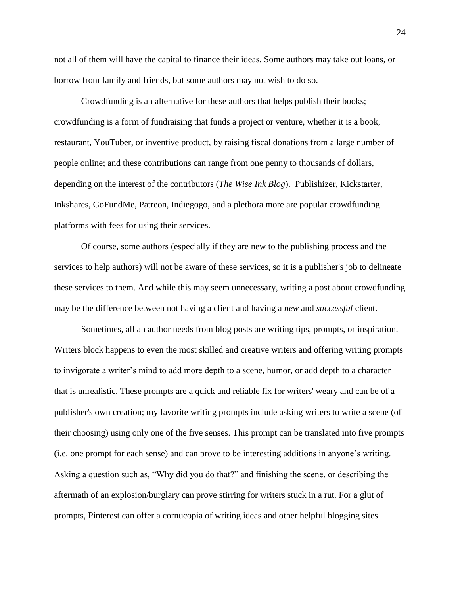not all of them will have the capital to finance their ideas. Some authors may take out loans, or borrow from family and friends, but some authors may not wish to do so.

Crowdfunding is an alternative for these authors that helps publish their books; crowdfunding is a form of fundraising that funds a project or venture, whether it is a book, restaurant, YouTuber, or inventive product, by raising fiscal donations from a large number of people online; and these contributions can range from one penny to thousands of dollars, depending on the interest of the contributors (*The Wise Ink Blog*). Publishizer, Kickstarter, Inkshares, GoFundMe, Patreon, Indiegogo, and a plethora more are popular crowdfunding platforms with fees for using their services.

Of course, some authors (especially if they are new to the publishing process and the services to help authors) will not be aware of these services, so it is a publisher's job to delineate these services to them. And while this may seem unnecessary, writing a post about crowdfunding may be the difference between not having a client and having a *new* and *successful* client.

Sometimes, all an author needs from blog posts are writing tips, prompts, or inspiration. Writers block happens to even the most skilled and creative writers and offering writing prompts to invigorate a writer's mind to add more depth to a scene, humor, or add depth to a character that is unrealistic. These prompts are a quick and reliable fix for writers' weary and can be of a publisher's own creation; my favorite writing prompts include asking writers to write a scene (of their choosing) using only one of the five senses. This prompt can be translated into five prompts (i.e. one prompt for each sense) and can prove to be interesting additions in anyone's writing. Asking a question such as, "Why did you do that?" and finishing the scene, or describing the aftermath of an explosion/burglary can prove stirring for writers stuck in a rut. For a glut of prompts, Pinterest can offer a cornucopia of writing ideas and other helpful blogging sites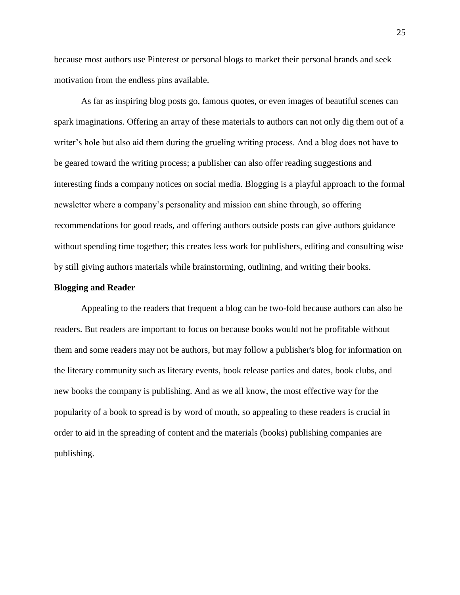because most authors use Pinterest or personal blogs to market their personal brands and seek motivation from the endless pins available.

As far as inspiring blog posts go, famous quotes, or even images of beautiful scenes can spark imaginations. Offering an array of these materials to authors can not only dig them out of a writer's hole but also aid them during the grueling writing process. And a blog does not have to be geared toward the writing process; a publisher can also offer reading suggestions and interesting finds a company notices on social media. Blogging is a playful approach to the formal newsletter where a company's personality and mission can shine through, so offering recommendations for good reads, and offering authors outside posts can give authors guidance without spending time together; this creates less work for publishers, editing and consulting wise by still giving authors materials while brainstorming, outlining, and writing their books.

#### **Blogging and Reader**

Appealing to the readers that frequent a blog can be two-fold because authors can also be readers. But readers are important to focus on because books would not be profitable without them and some readers may not be authors, but may follow a publisher's blog for information on the literary community such as literary events, book release parties and dates, book clubs, and new books the company is publishing. And as we all know, the most effective way for the popularity of a book to spread is by word of mouth, so appealing to these readers is crucial in order to aid in the spreading of content and the materials (books) publishing companies are publishing.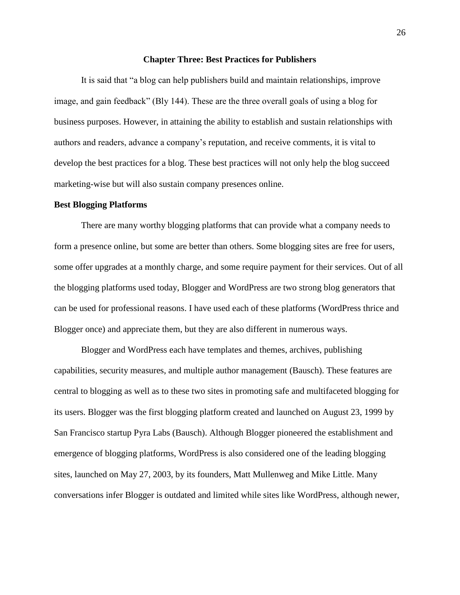#### **Chapter Three: Best Practices for Publishers**

It is said that "a blog can help publishers build and maintain relationships, improve image, and gain feedback" (Bly 144). These are the three overall goals of using a blog for business purposes. However, in attaining the ability to establish and sustain relationships with authors and readers, advance a company's reputation, and receive comments, it is vital to develop the best practices for a blog. These best practices will not only help the blog succeed marketing-wise but will also sustain company presences online.

#### **Best Blogging Platforms**

There are many worthy blogging platforms that can provide what a company needs to form a presence online, but some are better than others. Some blogging sites are free for users, some offer upgrades at a monthly charge, and some require payment for their services. Out of all the blogging platforms used today, Blogger and WordPress are two strong blog generators that can be used for professional reasons. I have used each of these platforms (WordPress thrice and Blogger once) and appreciate them, but they are also different in numerous ways.

Blogger and WordPress each have templates and themes, archives, publishing capabilities, security measures, and multiple author management (Bausch). These features are central to blogging as well as to these two sites in promoting safe and multifaceted blogging for its users. Blogger was the first blogging platform created and launched on August 23, 1999 by San Francisco startup Pyra Labs (Bausch). Although Blogger pioneered the establishment and emergence of blogging platforms, WordPress is also considered one of the leading blogging sites, launched on May 27, 2003, by its founders, Matt Mullenweg and Mike Little. Many conversations infer Blogger is outdated and limited while sites like WordPress, although newer,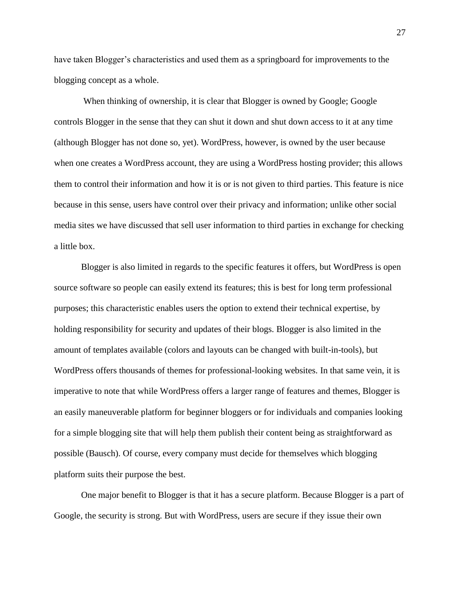have taken Blogger's characteristics and used them as a springboard for improvements to the blogging concept as a whole.

When thinking of ownership, it is clear that Blogger is owned by Google; Google controls Blogger in the sense that they can shut it down and shut down access to it at any time (although Blogger has not done so, yet). WordPress, however, is owned by the user because when one creates a WordPress account, they are using a WordPress hosting provider; this allows them to control their information and how it is or is not given to third parties. This feature is nice because in this sense, users have control over their privacy and information; unlike other social media sites we have discussed that sell user information to third parties in exchange for checking a little box.

Blogger is also limited in regards to the specific features it offers, but WordPress is open source software so people can easily extend its features; this is best for long term professional purposes; this characteristic enables users the option to extend their technical expertise, by holding responsibility for security and updates of their blogs. Blogger is also limited in the amount of templates available (colors and layouts can be changed with built-in-tools), but WordPress offers thousands of themes for professional-looking websites. In that same vein, it is imperative to note that while WordPress offers a larger range of features and themes, Blogger is an easily maneuverable platform for beginner bloggers or for individuals and companies looking for a simple blogging site that will help them publish their content being as straightforward as possible (Bausch). Of course, every company must decide for themselves which blogging platform suits their purpose the best.

One major benefit to Blogger is that it has a secure platform. Because Blogger is a part of Google, the security is strong. But with WordPress, users are secure if they issue their own

27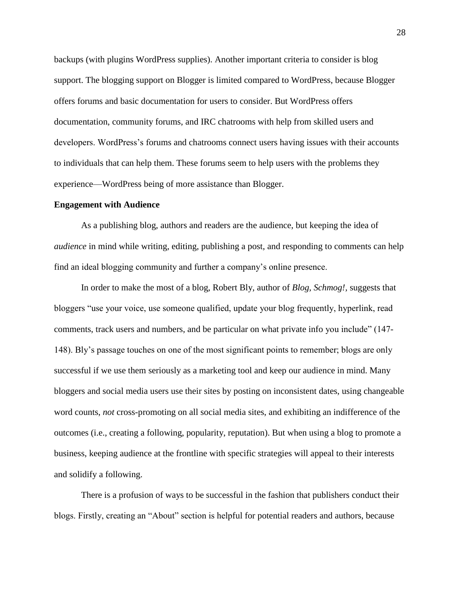backups (with plugins WordPress supplies). Another important criteria to consider is blog support. The blogging support on Blogger is limited compared to WordPress, because Blogger offers forums and basic documentation for users to consider. But WordPress offers documentation, community forums, and IRC chatrooms with help from skilled users and developers. WordPress's forums and chatrooms connect users having issues with their accounts to individuals that can help them. These forums seem to help users with the problems they experience—WordPress being of more assistance than Blogger.

#### **Engagement with Audience**

As a publishing blog, authors and readers are the audience, but keeping the idea of *audience* in mind while writing, editing, publishing a post, and responding to comments can help find an ideal blogging community and further a company's online presence.

In order to make the most of a blog, Robert Bly, author of *Blog, Schmog!,* suggests that bloggers "use your voice, use someone qualified, update your blog frequently, hyperlink, read comments, track users and numbers, and be particular on what private info you include" (147- 148). Bly's passage touches on one of the most significant points to remember; blogs are only successful if we use them seriously as a marketing tool and keep our audience in mind. Many bloggers and social media users use their sites by posting on inconsistent dates, using changeable word counts, *not* cross-promoting on all social media sites, and exhibiting an indifference of the outcomes (i.e., creating a following, popularity, reputation). But when using a blog to promote a business, keeping audience at the frontline with specific strategies will appeal to their interests and solidify a following.

There is a profusion of ways to be successful in the fashion that publishers conduct their blogs. Firstly, creating an "About" section is helpful for potential readers and authors, because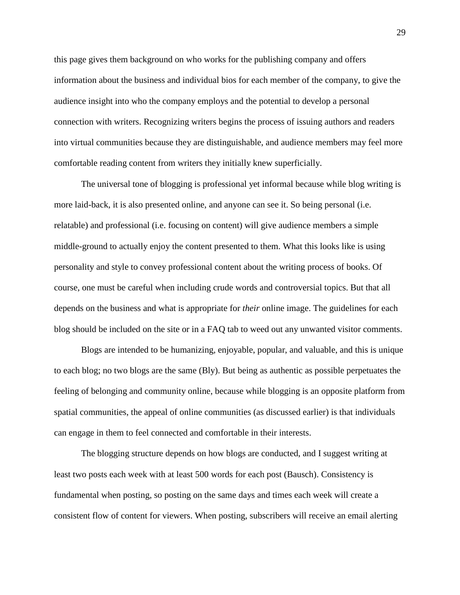this page gives them background on who works for the publishing company and offers information about the business and individual bios for each member of the company, to give the audience insight into who the company employs and the potential to develop a personal connection with writers. Recognizing writers begins the process of issuing authors and readers into virtual communities because they are distinguishable, and audience members may feel more comfortable reading content from writers they initially knew superficially.

The universal tone of blogging is professional yet informal because while blog writing is more laid-back, it is also presented online, and anyone can see it. So being personal (i.e. relatable) and professional (i.e. focusing on content) will give audience members a simple middle-ground to actually enjoy the content presented to them. What this looks like is using personality and style to convey professional content about the writing process of books. Of course, one must be careful when including crude words and controversial topics. But that all depends on the business and what is appropriate for *their* online image. The guidelines for each blog should be included on the site or in a FAQ tab to weed out any unwanted visitor comments.

Blogs are intended to be humanizing, enjoyable, popular, and valuable, and this is unique to each blog; no two blogs are the same (Bly). But being as authentic as possible perpetuates the feeling of belonging and community online, because while blogging is an opposite platform from spatial communities, the appeal of online communities (as discussed earlier) is that individuals can engage in them to feel connected and comfortable in their interests.

The blogging structure depends on how blogs are conducted, and I suggest writing at least two posts each week with at least 500 words for each post (Bausch). Consistency is fundamental when posting, so posting on the same days and times each week will create a consistent flow of content for viewers. When posting, subscribers will receive an email alerting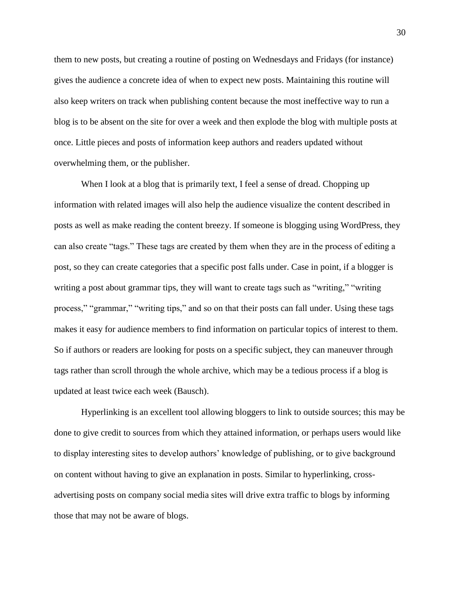them to new posts, but creating a routine of posting on Wednesdays and Fridays (for instance) gives the audience a concrete idea of when to expect new posts. Maintaining this routine will also keep writers on track when publishing content because the most ineffective way to run a blog is to be absent on the site for over a week and then explode the blog with multiple posts at once. Little pieces and posts of information keep authors and readers updated without overwhelming them, or the publisher.

When I look at a blog that is primarily text, I feel a sense of dread. Chopping up information with related images will also help the audience visualize the content described in posts as well as make reading the content breezy. If someone is blogging using WordPress, they can also create "tags." These tags are created by them when they are in the process of editing a post, so they can create categories that a specific post falls under. Case in point, if a blogger is writing a post about grammar tips, they will want to create tags such as "writing," "writing process," "grammar," "writing tips," and so on that their posts can fall under. Using these tags makes it easy for audience members to find information on particular topics of interest to them. So if authors or readers are looking for posts on a specific subject, they can maneuver through tags rather than scroll through the whole archive, which may be a tedious process if a blog is updated at least twice each week (Bausch).

Hyperlinking is an excellent tool allowing bloggers to link to outside sources; this may be done to give credit to sources from which they attained information, or perhaps users would like to display interesting sites to develop authors' knowledge of publishing, or to give background on content without having to give an explanation in posts. Similar to hyperlinking, crossadvertising posts on company social media sites will drive extra traffic to blogs by informing those that may not be aware of blogs.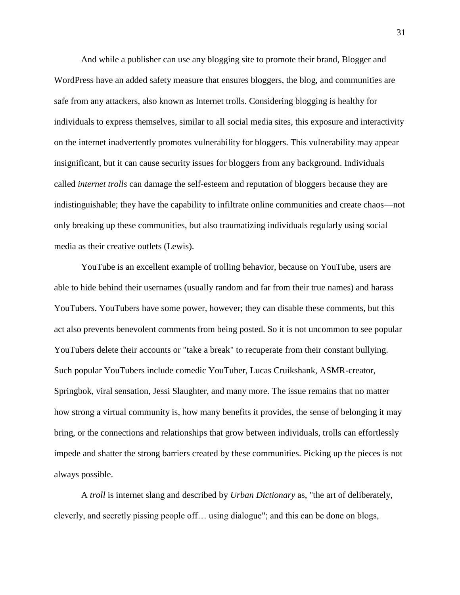And while a publisher can use any blogging site to promote their brand, Blogger and WordPress have an added safety measure that ensures bloggers, the blog, and communities are safe from any attackers, also known as Internet trolls. Considering blogging is healthy for individuals to express themselves, similar to all social media sites, this exposure and interactivity on the internet inadvertently promotes vulnerability for bloggers. This vulnerability may appear insignificant, but it can cause security issues for bloggers from any background. Individuals called *internet trolls* can damage the self-esteem and reputation of bloggers because they are indistinguishable; they have the capability to infiltrate online communities and create chaos—not only breaking up these communities, but also traumatizing individuals regularly using social media as their creative outlets (Lewis).

YouTube is an excellent example of trolling behavior, because on YouTube, users are able to hide behind their usernames (usually random and far from their true names) and harass YouTubers. YouTubers have some power, however; they can disable these comments, but this act also prevents benevolent comments from being posted. So it is not uncommon to see popular YouTubers delete their accounts or "take a break" to recuperate from their constant bullying. Such popular YouTubers include comedic YouTuber, Lucas Cruikshank, ASMR-creator, Springbok, viral sensation, Jessi Slaughter, and many more. The issue remains that no matter how strong a virtual community is, how many benefits it provides, the sense of belonging it may bring, or the connections and relationships that grow between individuals, trolls can effortlessly impede and shatter the strong barriers created by these communities. Picking up the pieces is not always possible.

A *troll* is internet slang and described by *Urban Dictionary* as, "the art of deliberately, cleverly, and secretly pissing people off… using dialogue"; and this can be done on blogs,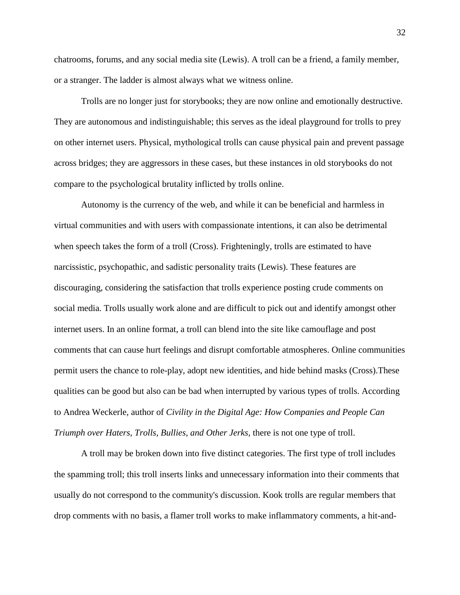chatrooms, forums, and any social media site (Lewis). A troll can be a friend, a family member, or a stranger. The ladder is almost always what we witness online.

Trolls are no longer just for storybooks; they are now online and emotionally destructive. They are autonomous and indistinguishable; this serves as the ideal playground for trolls to prey on other internet users. Physical, mythological trolls can cause physical pain and prevent passage across bridges; they are aggressors in these cases, but these instances in old storybooks do not compare to the psychological brutality inflicted by trolls online.

Autonomy is the currency of the web, and while it can be beneficial and harmless in virtual communities and with users with compassionate intentions, it can also be detrimental when speech takes the form of a troll (Cross). Frighteningly, trolls are estimated to have narcissistic, psychopathic, and sadistic personality traits (Lewis). These features are discouraging, considering the satisfaction that trolls experience posting crude comments on social media. Trolls usually work alone and are difficult to pick out and identify amongst other internet users. In an online format, a troll can blend into the site like camouflage and post comments that can cause hurt feelings and disrupt comfortable atmospheres. Online communities permit users the chance to role-play, adopt new identities, and hide behind masks (Cross).These qualities can be good but also can be bad when interrupted by various types of trolls. According to Andrea Weckerle, author of *Civility in the Digital Age: How Companies and People Can Triumph over Haters, Trolls, Bullies, and Other Jerks,* there is not one type of troll.

A troll may be broken down into five distinct categories. The first type of troll includes the spamming troll; this troll inserts links and unnecessary information into their comments that usually do not correspond to the community's discussion. Kook trolls are regular members that drop comments with no basis, a flamer troll works to make inflammatory comments, a hit-and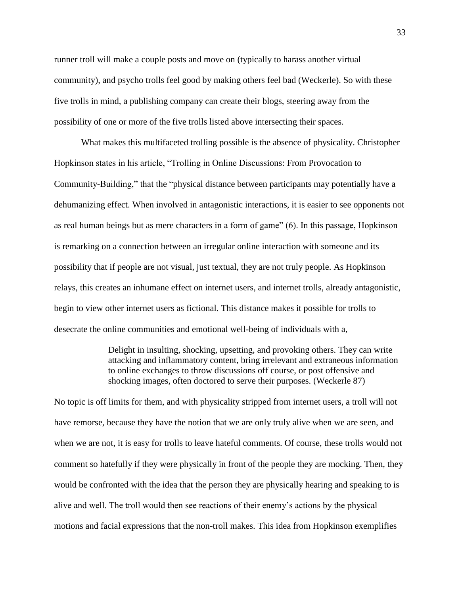runner troll will make a couple posts and move on (typically to harass another virtual community), and psycho trolls feel good by making others feel bad (Weckerle). So with these five trolls in mind, a publishing company can create their blogs, steering away from the possibility of one or more of the five trolls listed above intersecting their spaces.

What makes this multifaceted trolling possible is the absence of physicality. Christopher Hopkinson states in his article, "Trolling in Online Discussions: From Provocation to Community-Building," that the "physical distance between participants may potentially have a dehumanizing effect. When involved in antagonistic interactions, it is easier to see opponents not as real human beings but as mere characters in a form of game" (6). In this passage, Hopkinson is remarking on a connection between an irregular online interaction with someone and its possibility that if people are not visual, just textual, they are not truly people. As Hopkinson relays, this creates an inhumane effect on internet users, and internet trolls, already antagonistic, begin to view other internet users as fictional. This distance makes it possible for trolls to desecrate the online communities and emotional well-being of individuals with a,

> Delight in insulting, shocking, upsetting, and provoking others. They can write attacking and inflammatory content, bring irrelevant and extraneous information to online exchanges to throw discussions off course, or post offensive and shocking images, often doctored to serve their purposes. (Weckerle 87)

No topic is off limits for them, and with physicality stripped from internet users, a troll will not have remorse, because they have the notion that we are only truly alive when we are seen, and when we are not, it is easy for trolls to leave hateful comments. Of course, these trolls would not comment so hatefully if they were physically in front of the people they are mocking. Then, they would be confronted with the idea that the person they are physically hearing and speaking to is alive and well. The troll would then see reactions of their enemy's actions by the physical motions and facial expressions that the non-troll makes. This idea from Hopkinson exemplifies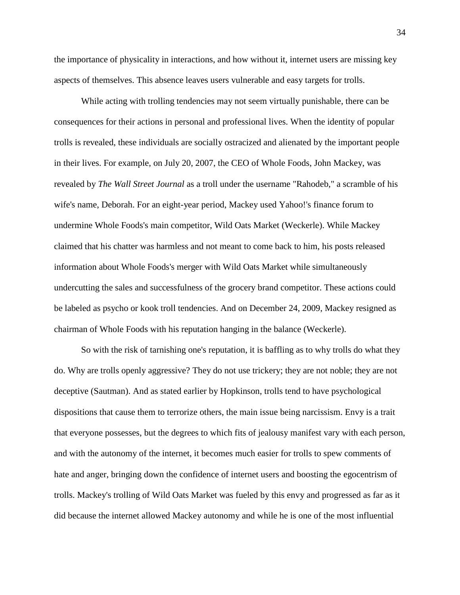the importance of physicality in interactions, and how without it, internet users are missing key aspects of themselves. This absence leaves users vulnerable and easy targets for trolls.

While acting with trolling tendencies may not seem virtually punishable, there can be consequences for their actions in personal and professional lives. When the identity of popular trolls is revealed, these individuals are socially ostracized and alienated by the important people in their lives. For example, on July 20, 2007, the CEO of Whole Foods, John Mackey, was revealed by *The Wall Street Journal* as a troll under the username "Rahodeb," a scramble of his wife's name, Deborah. For an eight-year period, Mackey used Yahoo!'s finance forum to undermine Whole Foods's main competitor, Wild Oats Market (Weckerle). While Mackey claimed that his chatter was harmless and not meant to come back to him, his posts released information about Whole Foods's merger with Wild Oats Market while simultaneously undercutting the sales and successfulness of the grocery brand competitor. These actions could be labeled as psycho or kook troll tendencies. And on December 24, 2009, Mackey resigned as chairman of Whole Foods with his reputation hanging in the balance (Weckerle).

So with the risk of tarnishing one's reputation, it is baffling as to why trolls do what they do. Why are trolls openly aggressive? They do not use trickery; they are not noble; they are not deceptive (Sautman). And as stated earlier by Hopkinson, trolls tend to have psychological dispositions that cause them to terrorize others, the main issue being narcissism. Envy is a trait that everyone possesses, but the degrees to which fits of jealousy manifest vary with each person, and with the autonomy of the internet, it becomes much easier for trolls to spew comments of hate and anger, bringing down the confidence of internet users and boosting the egocentrism of trolls. Mackey's trolling of Wild Oats Market was fueled by this envy and progressed as far as it did because the internet allowed Mackey autonomy and while he is one of the most influential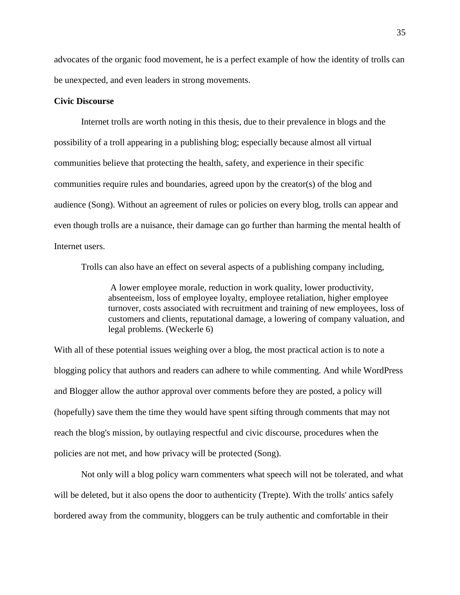advocates of the organic food movement, he is a perfect example of how the identity of trolls can be unexpected, and even leaders in strong movements.

#### **Civic Discourse**

Internet trolls are worth noting in this thesis, due to their prevalence in blogs and the possibility of a troll appearing in a publishing blog; especially because almost all virtual communities believe that protecting the health, safety, and experience in their specific communities require rules and boundaries, agreed upon by the creator(s) of the blog and audience (Song). Without an agreement of rules or policies on every blog, trolls can appear and even though trolls are a nuisance, their damage can go further than harming the mental health of Internet users.

Trolls can also have an effect on several aspects of a publishing company including,

A lower employee morale, reduction in work quality, lower productivity, absenteeism, loss of employee loyalty, employee retaliation, higher employee turnover, costs associated with recruitment and training of new employees, loss of customers and clients, reputational damage, a lowering of company valuation, and legal problems. (Weckerle 6)

With all of these potential issues weighing over a blog, the most practical action is to note a blogging policy that authors and readers can adhere to while commenting. And while WordPress and Blogger allow the author approval over comments before they are posted, a policy will (hopefully) save them the time they would have spent sifting through comments that may not reach the blog's mission, by outlaying respectful and civic discourse, procedures when the policies are not met, and how privacy will be protected (Song).

Not only will a blog policy warn commenters what speech will not be tolerated, and what will be deleted, but it also opens the door to authenticity (Trepte). With the trolls' antics safely bordered away from the community, bloggers can be truly authentic and comfortable in their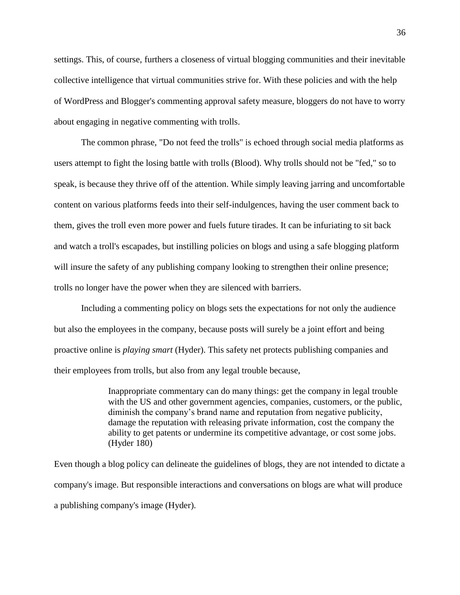settings. This, of course, furthers a closeness of virtual blogging communities and their inevitable collective intelligence that virtual communities strive for. With these policies and with the help of WordPress and Blogger's commenting approval safety measure, bloggers do not have to worry about engaging in negative commenting with trolls.

The common phrase, "Do not feed the trolls" is echoed through social media platforms as users attempt to fight the losing battle with trolls (Blood). Why trolls should not be "fed," so to speak, is because they thrive off of the attention. While simply leaving jarring and uncomfortable content on various platforms feeds into their self-indulgences, having the user comment back to them, gives the troll even more power and fuels future tirades. It can be infuriating to sit back and watch a troll's escapades, but instilling policies on blogs and using a safe blogging platform will insure the safety of any publishing company looking to strengthen their online presence; trolls no longer have the power when they are silenced with barriers.

Including a commenting policy on blogs sets the expectations for not only the audience but also the employees in the company, because posts will surely be a joint effort and being proactive online is *playing smart* (Hyder). This safety net protects publishing companies and their employees from trolls, but also from any legal trouble because,

> Inappropriate commentary can do many things: get the company in legal trouble with the US and other government agencies, companies, customers, or the public, diminish the company's brand name and reputation from negative publicity, damage the reputation with releasing private information, cost the company the ability to get patents or undermine its competitive advantage, or cost some jobs. (Hyder 180)

Even though a blog policy can delineate the guidelines of blogs, they are not intended to dictate a company's image. But responsible interactions and conversations on blogs are what will produce a publishing company's image (Hyder).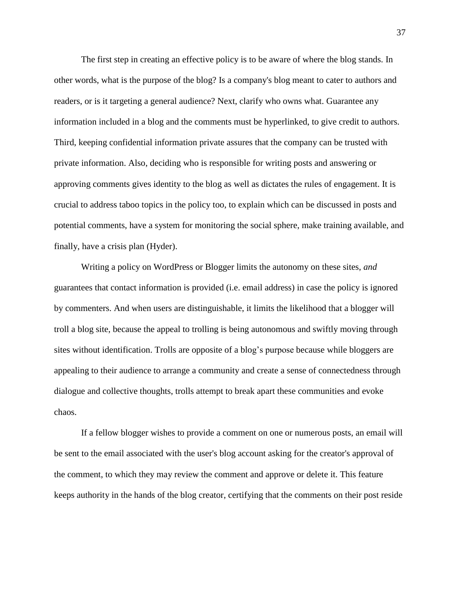The first step in creating an effective policy is to be aware of where the blog stands. In other words, what is the purpose of the blog? Is a company's blog meant to cater to authors and readers, or is it targeting a general audience? Next, clarify who owns what. Guarantee any information included in a blog and the comments must be hyperlinked, to give credit to authors. Third, keeping confidential information private assures that the company can be trusted with private information. Also, deciding who is responsible for writing posts and answering or approving comments gives identity to the blog as well as dictates the rules of engagement. It is crucial to address taboo topics in the policy too, to explain which can be discussed in posts and potential comments, have a system for monitoring the social sphere, make training available, and finally, have a crisis plan (Hyder).

Writing a policy on WordPress or Blogger limits the autonomy on these sites, *and* guarantees that contact information is provided (i.e. email address) in case the policy is ignored by commenters. And when users are distinguishable, it limits the likelihood that a blogger will troll a blog site, because the appeal to trolling is being autonomous and swiftly moving through sites without identification. Trolls are opposite of a blog's purpose because while bloggers are appealing to their audience to arrange a community and create a sense of connectedness through dialogue and collective thoughts, trolls attempt to break apart these communities and evoke chaos.

If a fellow blogger wishes to provide a comment on one or numerous posts, an email will be sent to the email associated with the user's blog account asking for the creator's approval of the comment, to which they may review the comment and approve or delete it. This feature keeps authority in the hands of the blog creator, certifying that the comments on their post reside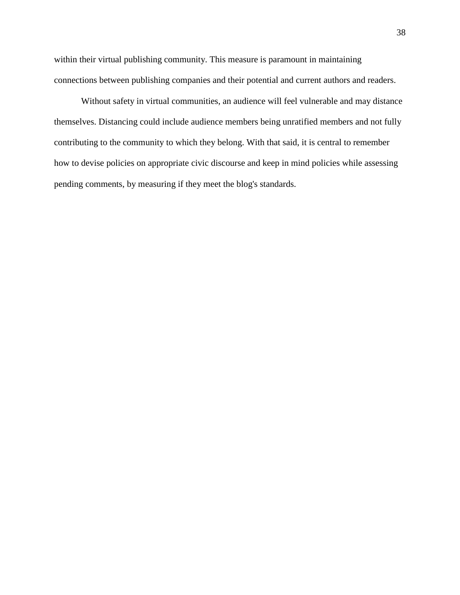within their virtual publishing community. This measure is paramount in maintaining connections between publishing companies and their potential and current authors and readers.

Without safety in virtual communities, an audience will feel vulnerable and may distance themselves. Distancing could include audience members being unratified members and not fully contributing to the community to which they belong. With that said, it is central to remember how to devise policies on appropriate civic discourse and keep in mind policies while assessing pending comments, by measuring if they meet the blog's standards.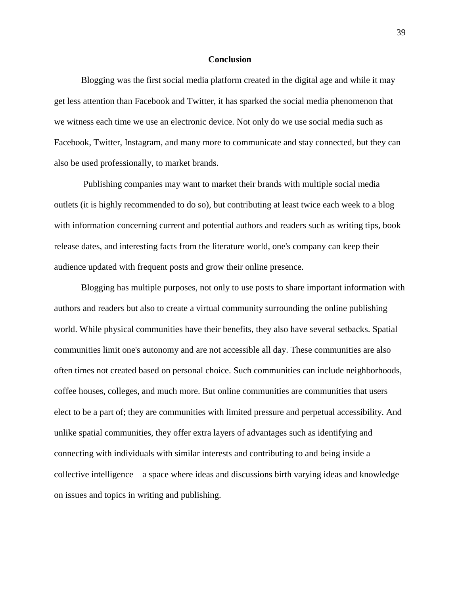#### **Conclusion**

Blogging was the first social media platform created in the digital age and while it may get less attention than Facebook and Twitter, it has sparked the social media phenomenon that we witness each time we use an electronic device. Not only do we use social media such as Facebook, Twitter, Instagram, and many more to communicate and stay connected, but they can also be used professionally, to market brands.

Publishing companies may want to market their brands with multiple social media outlets (it is highly recommended to do so), but contributing at least twice each week to a blog with information concerning current and potential authors and readers such as writing tips, book release dates, and interesting facts from the literature world, one's company can keep their audience updated with frequent posts and grow their online presence.

Blogging has multiple purposes, not only to use posts to share important information with authors and readers but also to create a virtual community surrounding the online publishing world. While physical communities have their benefits, they also have several setbacks. Spatial communities limit one's autonomy and are not accessible all day. These communities are also often times not created based on personal choice. Such communities can include neighborhoods, coffee houses, colleges, and much more. But online communities are communities that users elect to be a part of; they are communities with limited pressure and perpetual accessibility. And unlike spatial communities, they offer extra layers of advantages such as identifying and connecting with individuals with similar interests and contributing to and being inside a collective intelligence—a space where ideas and discussions birth varying ideas and knowledge on issues and topics in writing and publishing.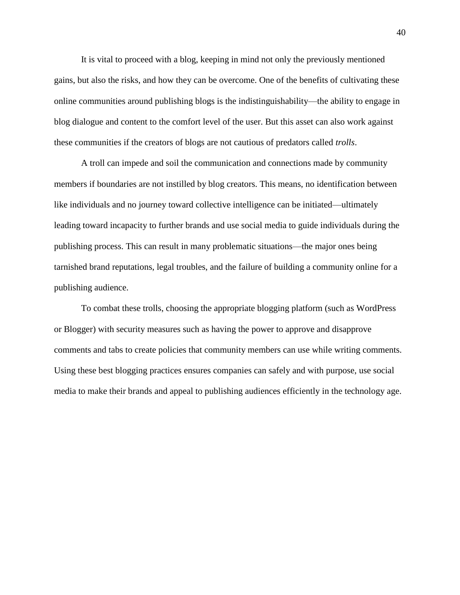It is vital to proceed with a blog, keeping in mind not only the previously mentioned gains, but also the risks, and how they can be overcome. One of the benefits of cultivating these online communities around publishing blogs is the indistinguishability—the ability to engage in blog dialogue and content to the comfort level of the user. But this asset can also work against these communities if the creators of blogs are not cautious of predators called *trolls*.

A troll can impede and soil the communication and connections made by community members if boundaries are not instilled by blog creators. This means, no identification between like individuals and no journey toward collective intelligence can be initiated—ultimately leading toward incapacity to further brands and use social media to guide individuals during the publishing process. This can result in many problematic situations—the major ones being tarnished brand reputations, legal troubles, and the failure of building a community online for a publishing audience.

To combat these trolls, choosing the appropriate blogging platform (such as WordPress or Blogger) with security measures such as having the power to approve and disapprove comments and tabs to create policies that community members can use while writing comments. Using these best blogging practices ensures companies can safely and with purpose, use social media to make their brands and appeal to publishing audiences efficiently in the technology age.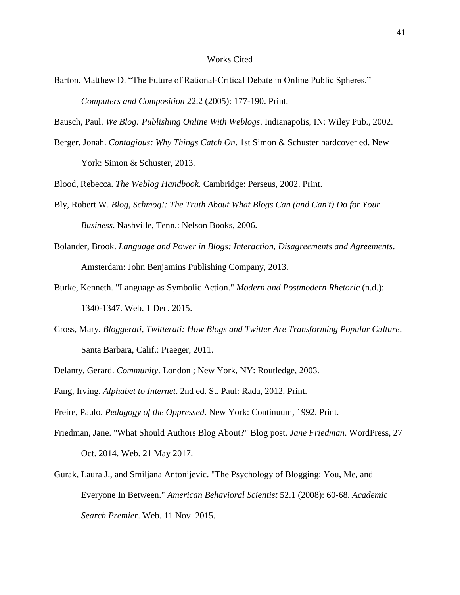- Barton, Matthew D. "The Future of Rational-Critical Debate in Online Public Spheres." *Computers and Composition* 22.2 (2005): 177-190. Print.
- Bausch, Paul. *We Blog: Publishing Online With Weblogs*. Indianapolis, IN: Wiley Pub., 2002.
- Berger, Jonah. *Contagious: Why Things Catch On*. 1st Simon & Schuster hardcover ed. New York: Simon & Schuster, 2013.

Blood, Rebecca. *The Weblog Handbook.* Cambridge: Perseus, 2002. Print.

- Bly, Robert W. *Blog, Schmog!: The Truth About What Blogs Can (and Can't) Do for Your Business*. Nashville, Tenn.: Nelson Books, 2006.
- Bolander, Brook. *Language and Power in Blogs: Interaction, Disagreements and Agreements*. Amsterdam: John Benjamins Publishing Company, 2013.
- Burke, Kenneth. "Language as Symbolic Action." *Modern and Postmodern Rhetoric* (n.d.): 1340-1347. Web. 1 Dec. 2015.
- Cross, Mary. *Bloggerati, Twitterati: How Blogs and Twitter Are Transforming Popular Culture*. Santa Barbara, Calif.: Praeger, 2011.
- Delanty, Gerard. *Community*. London ; New York, NY: Routledge, 2003.
- Fang, Irving. *Alphabet to Internet*. 2nd ed. St. Paul: Rada, 2012. Print.
- Freire, Paulo. *Pedagogy of the Oppressed*. New York: Continuum, 1992. Print.
- Friedman, Jane. "What Should Authors Blog About?" Blog post. *Jane Friedman*. WordPress, 27 Oct. 2014. Web. 21 May 2017.
- Gurak, Laura J., and Smiljana Antonijevic. "The Psychology of Blogging: You, Me, and Everyone In Between." *American Behavioral Scientist* 52.1 (2008): 60-68. *Academic Search Premier*. Web. 11 Nov. 2015.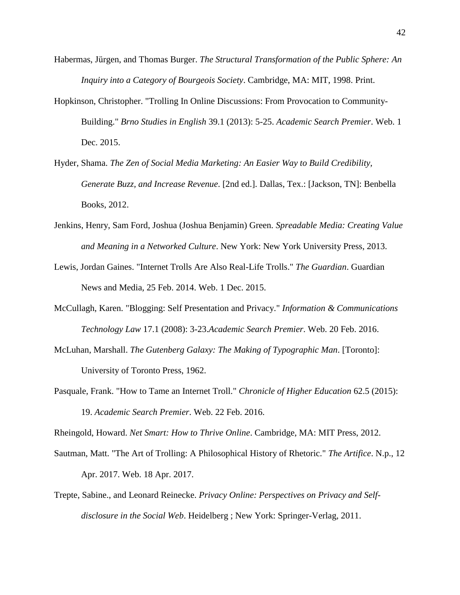- Habermas, Jürgen, and Thomas Burger. *The Structural Transformation of the Public Sphere: An Inquiry into a Category of Bourgeois Society*. Cambridge, MA: MIT, 1998. Print.
- Hopkinson, Christopher. "Trolling In Online Discussions: From Provocation to Community-Building." *Brno Studies in English* 39.1 (2013): 5-25. *Academic Search Premier*. Web. 1 Dec. 2015.
- Hyder, Shama. *The Zen of Social Media Marketing: An Easier Way to Build Credibility, Generate Buzz, and Increase Revenue*. [2nd ed.]. Dallas, Tex.: [Jackson, TN]: Benbella Books, 2012.
- Jenkins, Henry, Sam Ford, Joshua (Joshua Benjamin) Green. *Spreadable Media: Creating Value and Meaning in a Networked Culture*. New York: New York University Press, 2013.
- Lewis, Jordan Gaines. "Internet Trolls Are Also Real-Life Trolls." *The Guardian*. Guardian News and Media, 25 Feb. 2014. Web. 1 Dec. 2015.
- McCullagh, Karen. "Blogging: Self Presentation and Privacy." *Information & Communications Technology Law* 17.1 (2008): 3-23.*Academic Search Premier*. Web. 20 Feb. 2016.
- McLuhan, Marshall. *The Gutenberg Galaxy: The Making of Typographic Man*. [Toronto]: University of Toronto Press, 1962.
- Pasquale, Frank. "How to Tame an Internet Troll." *Chronicle of Higher Education* 62.5 (2015): 19. *Academic Search Premier*. Web. 22 Feb. 2016.

Rheingold, Howard. *Net Smart: How to Thrive Online*. Cambridge, MA: MIT Press, 2012.

- Sautman, Matt. "The Art of Trolling: A Philosophical History of Rhetoric." *The Artifice*. N.p., 12 Apr. 2017. Web. 18 Apr. 2017.
- Trepte, Sabine., and Leonard Reinecke. *Privacy Online: Perspectives on Privacy and Selfdisclosure in the Social Web*. Heidelberg ; New York: Springer-Verlag, 2011.